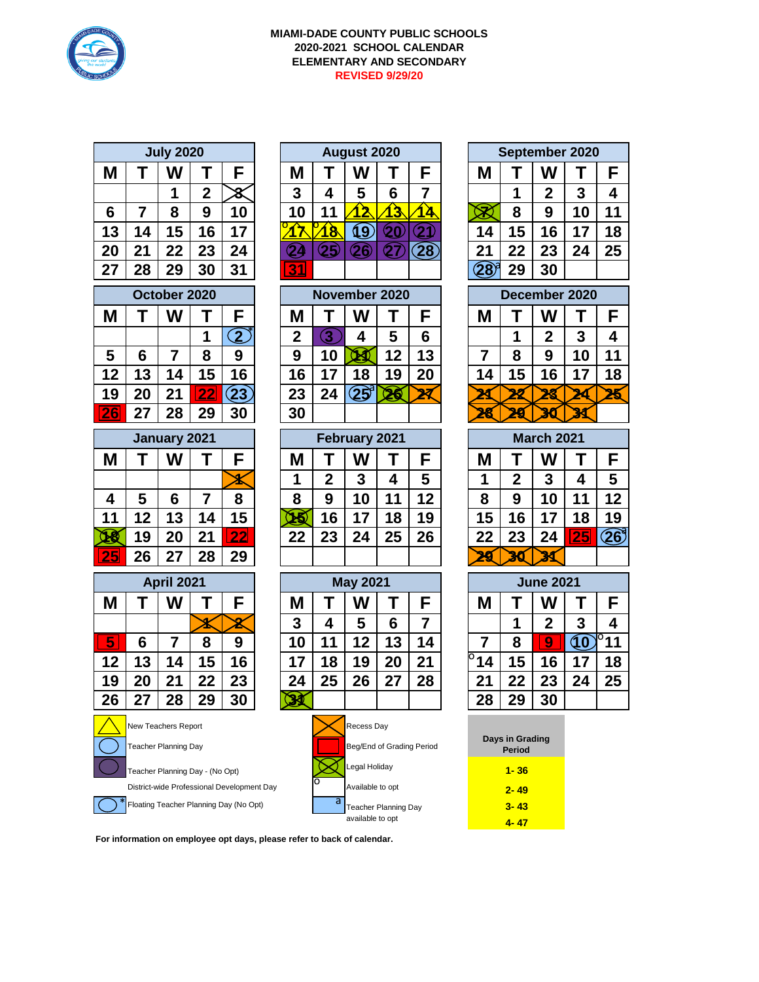

## **MIAMI-DADE COUNTY PUBLIC SCHOOLS 2020-2021 SCHOOL CALENDAR ELEMENTARY AND SECONDARY REVISED 9/29/20**

| <b>July 2020</b>                           |                |                             |                |                    |   |                              | <b>August 2020</b>          |                          |                           |                    | September 2020 |                           |                |                  |                   |                  |  |  |  |
|--------------------------------------------|----------------|-----------------------------|----------------|--------------------|---|------------------------------|-----------------------------|--------------------------|---------------------------|--------------------|----------------|---------------------------|----------------|------------------|-------------------|------------------|--|--|--|
| M                                          | Т              | W                           | Τ              | F                  |   | Μ                            | Т                           | W                        | Τ                         | F                  |                | M                         | Τ              | W                | Т                 | F                |  |  |  |
|                                            |                | 1                           | $\overline{2}$ | 8                  |   | 3                            | 4                           | 5                        | 6                         | 7                  |                |                           | 1              | $\overline{2}$   | 3                 | 4                |  |  |  |
| 6                                          | $\overline{7}$ | 8                           | 9              | 10                 |   | 10                           | 11                          | <u>12</u>                | ેડે                       | <u>14</u>          |                |                           | 8              | 9                | 10                | 11               |  |  |  |
| 13                                         | 14             | 15                          | 16             | 17                 |   | <mark>ጉ</mark>               | 18                          | $\overline{\mathbf{19}}$ | $\bf Q$ 0                 | $\bf 21$           |                | 14                        | 15             | 16               | 17                | 18               |  |  |  |
| 20                                         | 21             | 22                          | 23             | 24                 |   | 24                           | $\bf \Omega5$               | $\mathbf{\widehat{26}}$  | $\mathbf{\Omega}$         | $\left( 28\right)$ |                | 21                        | 22             | 23               | 24                | 25               |  |  |  |
| 27                                         | 28             | 29                          | 30             | 31                 |   | 31                           |                             |                          |                           |                    |                | $\widehat{28}^\circ$      | 29             | 30               |                   |                  |  |  |  |
| October 2020                               |                |                             |                |                    |   |                              |                             | November 2020            |                           |                    |                |                           | December 2020  |                  |                   |                  |  |  |  |
| M                                          | Т              | W                           | Τ              | F                  |   | Μ                            | Т                           | W                        | Τ                         | F                  |                | M                         | Τ              | W                |                   | F                |  |  |  |
|                                            |                |                             | 1              | $\mathbf{\Omega}$  |   | $\overline{2}$               | $\boxed{3}$                 | 4                        | 5                         | 6                  |                |                           | 1              | $\overline{2}$   | 3                 | 4                |  |  |  |
| 5                                          | 6              | $\overline{7}$              | 8              | 9                  |   | 9                            | 10                          | Œ                        | 12                        | 13                 |                | $\overline{7}$            | 8              | 9                | 10                | 11               |  |  |  |
| 12                                         | 13             | 14                          | 15             | 16                 |   | 16                           | 17                          | 18                       | 19                        | 20                 |                | 14                        | 15             | 16               | 17                | 18               |  |  |  |
| 19                                         | 20             | 21                          | <u> 22</u>     | (23)               |   | 23                           | 24                          | $\mathbf{25}^{3}$        | 26                        | 27                 |                |                           |                |                  |                   | 25               |  |  |  |
| 26                                         | 27             | 28                          | 29             | 30                 |   | 30                           |                             |                          |                           |                    |                |                           |                |                  |                   |                  |  |  |  |
|                                            |                | January 2021                |                |                    |   |                              |                             | February 2021            |                           |                    |                |                           |                |                  | <b>March 2021</b> |                  |  |  |  |
| Μ                                          | Т              | W                           | Τ              | F                  |   | Μ                            | Τ                           | W                        | Τ                         | F                  |                | Μ                         | Τ              | W                | Т                 | F                |  |  |  |
|                                            |                |                             |                |                    |   | 1                            | $\overline{2}$              | 3                        | 4                         | 5                  |                | 1                         | $\overline{2}$ | 3                | 4                 | 5                |  |  |  |
| 4                                          | 5              | 6                           | $\overline{7}$ | 8                  |   | 8                            | 9                           | 10                       | 11                        | 12                 |                | 8                         | 9              | 10               | 11                | 12               |  |  |  |
| 11                                         | 12             | 13                          | 14             | 15                 |   | ৸ই                           | 16                          | 17                       | 18                        | 19                 |                | 15                        | 16             | 17               | 18                | 19               |  |  |  |
| 18                                         | 19             | 20                          | 21             | <u>22 </u>         |   | 22                           | 23                          | 24                       | 25                        | 26                 |                | 22                        | 23             | 24               | <b>25</b>         | 26               |  |  |  |
| 25                                         | 26             | 27                          | 28             | 29                 |   |                              |                             |                          |                           |                    |                | ଧ୍ୟ                       | 30             |                  |                   |                  |  |  |  |
|                                            |                | <b>April 2021</b>           |                |                    |   |                              |                             | <b>May 2021</b>          |                           |                    |                |                           |                | <b>June 2021</b> |                   |                  |  |  |  |
| Μ                                          | т              | W                           | Т              | F                  |   | Μ                            | Τ                           | W                        | Т                         | F                  |                | M                         | Τ              | W                | Τ                 | F                |  |  |  |
|                                            |                |                             |                | $\bar{\mathbf{z}}$ |   | 3                            | 4                           | 5                        | 6                         | 7                  |                |                           | 1              | $\overline{2}$   | 3                 | 4                |  |  |  |
| 5                                          | 6              | $\overline{7}$              | 8              | 9                  |   | 10                           | 11                          | 12                       | 13                        | 14                 |                | $\overline{7}$            | 8              | 9                | 10                | $\overline{P}$ 1 |  |  |  |
| 12                                         | 13             | 14                          | 15             | 16                 |   | 17                           | 18                          | 19                       | 20                        | 21                 |                | 14                        | 15             | 16               | 17                | 18               |  |  |  |
| 19                                         | 20             | 21                          | 22             | 23                 |   | 24                           | 25                          | 26                       | 27                        | 28                 |                | 21                        | 22             | 23               | 24                | 25               |  |  |  |
| 26                                         | 27             | 28                          | 29             | 30                 |   |                              |                             |                          |                           |                    |                | 28                        | 29             | 30               |                   |                  |  |  |  |
|                                            |                | New Teachers Report         |                |                    |   |                              | Recess Day                  |                          |                           |                    |                |                           |                |                  |                   |                  |  |  |  |
|                                            |                | <b>Teacher Planning Day</b> |                |                    |   |                              |                             |                          | Beg/End of Grading Period |                    |                | Days in Grading<br>Period |                |                  |                   |                  |  |  |  |
| Teacher Planning Day - (No Opt)            |                |                             |                |                    |   | Legal Holiday                |                             |                          |                           |                    | $1 - 36$       |                           |                |                  |                   |                  |  |  |  |
| District-wide Professional Development Day |                |                             |                |                    |   | Available to opt<br>$2 - 49$ |                             |                          |                           |                    |                |                           |                |                  |                   |                  |  |  |  |
| Floating Teacher Planning Day (No Opt)     |                |                             |                |                    | a |                              | <b>Teacher Planning Day</b> |                          |                           |                    | $3 - 43$       |                           |                |                  |                   |                  |  |  |  |

|    |    | <b>July 2020</b> |    |    | <b>August 2020</b> |  |    |   |                 |    | September 2020 |    |    |    |  |
|----|----|------------------|----|----|--------------------|--|----|---|-----------------|----|----------------|----|----|----|--|
| VI |    | W                |    |    | Μ                  |  | W  |   |                 | M  |                | W  |    |    |  |
|    |    |                  |    |    | 3                  |  | IJ | 6 |                 |    |                | 2  | Ð  |    |  |
| 6  |    | о                | 9  | 10 | 0                  |  |    | З |                 |    | 8              | 9  | 10 | 11 |  |
| 3  | 14 | 5                | 6  | 7  |                    |  | y  |   |                 | 1. | 5              |    |    | 18 |  |
| 20 | クヘ | 22               | 23 | 24 |                    |  |    |   | $\overline{28}$ | 2  | 22             | 23 | 24 | 25 |  |
| :7 | 28 | 29               | 30 | 21 |                    |  |    |   |                 |    | 20             | 30 |    |    |  |

| October 2020 |    |    |    | November 2020 |    |    |   |    | December 2020 |     |   |   |    |    |
|--------------|----|----|----|---------------|----|----|---|----|---------------|-----|---|---|----|----|
| VI           |    | W  |    |               | Μ  |    | W |    |               | IV. |   | N |    |    |
|              |    |    |    |               | ŋ  |    |   | C  | 6             |     |   | n | o  |    |
| 5            |    |    | 8  | 9             |    | ιu |   | 12 | 13            |     | 8 | 9 | 10 | 11 |
| $\mathbf 2$  | 13 | 4  | .5 | 16            | 6  |    |   | 9  | 20            | 14  | 5 |   |    | 18 |
| 9            |    |    | -- |               | 23 | 24 |   |    |               |     |   |   |    |    |
| F            | דר | 28 |    | 30            | 30 |    |   |    |               |     |   |   |    |    |

| <b>January 2021</b> |             |    |    | February 2021 |    |    |    |    | <b>March 2021</b> |    |    |    |    |    |
|---------------------|-------------|----|----|---------------|----|----|----|----|-------------------|----|----|----|----|----|
| M                   |             | W  |    |               | Μ  |    |    |    |                   |    |    | W  |    |    |
|                     |             |    |    |               |    | ŋ  | 3  |    | 5                 |    | ≏  | 3  |    | 5  |
| $\boldsymbol{4}$    | 5           | 6  |    | 8             | 8  | 9  |    | 1  | 12                | 8  | 9  | 10 |    | 12 |
| 11                  | $\mathbf 2$ | 13 | 14 | 15            |    | 6  |    | 18 | 19                | 5  | 6  |    | 8  | 19 |
|                     | 19          | 20 | 21 | つつ            | 22 | 23 | כי | 25 | 26                | 22 | 23 | 24 | پے | 26 |
| 25                  | 26          |    | 28 | 29            |    |    |    |    |                   |    |    |    |    |    |

| <b>April 2021</b> |    |    |    |    | <b>May 2021</b> |    |    |    |    | <b>June 2021</b> |    |                         |    |    |
|-------------------|----|----|----|----|-----------------|----|----|----|----|------------------|----|-------------------------|----|----|
| M                 |    | W  |    |    | Μ               |    |    |    | F  | Μ                |    | W                       |    |    |
|                   |    |    |    |    | 3               | 4  | 5  | 6  |    |                  |    | 2                       | 3  |    |
| 5                 | 6  |    | 8  | 9  | 10              |    | 12 | 13 | 14 |                  | 8  | $\overline{\mathbf{9}}$ |    | 11 |
| 12                | 13 | 14 | 15 | 16 | 7 ،             | 8  | 19 | 20 | 21 | ้ 14             | 15 | 16                      |    | 18 |
| 19                | 20 | 21 | 22 | 23 | 24              | 25 | 26 | 27 | 28 | יר               | 22 | 23                      | クム | 25 |
| 26                | דר | 28 | 29 | 30 |                 |    |    |    |    | 28               | 29 | 30                      |    |    |



| September 2020        |        |    |    |    |  |  |  |  |  |  |  |
|-----------------------|--------|----|----|----|--|--|--|--|--|--|--|
| M                     | F<br>w |    |    |    |  |  |  |  |  |  |  |
| 4<br>$\mathbf 2$<br>3 |        |    |    |    |  |  |  |  |  |  |  |
|                       | 8      | 9  | 10 | 11 |  |  |  |  |  |  |  |
| 14                    | 15     | 16 | 17 | 18 |  |  |  |  |  |  |  |
| 21                    | 22     | 23 | 24 | 25 |  |  |  |  |  |  |  |
| 29<br>30              |        |    |    |    |  |  |  |  |  |  |  |
|                       |        |    |    |    |  |  |  |  |  |  |  |

| Decemper Zuzu |    |                  |    |    |  |  |  |  |  |  |  |
|---------------|----|------------------|----|----|--|--|--|--|--|--|--|
|               |    | W                |    | F  |  |  |  |  |  |  |  |
|               |    | $\boldsymbol{2}$ | 3  | 4  |  |  |  |  |  |  |  |
|               | 8  | 9                | 10 | 11 |  |  |  |  |  |  |  |
| 14            | 15 | 16               | 17 | 18 |  |  |  |  |  |  |  |
|               |    |                  |    |    |  |  |  |  |  |  |  |
|               |    |                  |    |    |  |  |  |  |  |  |  |

| <b>March 2021</b> |             |    |    |    |  |  |  |  |  |  |  |
|-------------------|-------------|----|----|----|--|--|--|--|--|--|--|
| М                 |             |    |    |    |  |  |  |  |  |  |  |
|                   | $\mathbf 2$ | 3  | 4  | 5  |  |  |  |  |  |  |  |
| 8                 | 9           | 10 | 11 | 12 |  |  |  |  |  |  |  |
| 15                | 16          | 17 | 18 | 19 |  |  |  |  |  |  |  |
| 22                | 23          | 24 |    |    |  |  |  |  |  |  |  |
|                   |             |    |    |    |  |  |  |  |  |  |  |

|   | <b>May 2021</b> |    |    | <b>June 2021</b> |    |              |    |    |  |  |  |
|---|-----------------|----|----|------------------|----|--------------|----|----|--|--|--|
|   |                 |    | F  | Μ                |    | W            |    |    |  |  |  |
|   | 5               | 6  |    |                  |    | $\mathbf{2}$ | 3  |    |  |  |  |
| I | 12              | 13 | 14 |                  | 8  | 9            | 10 | Ю  |  |  |  |
|   | 19              | 20 | 21 | 14               | 15 | 16           | 17 | 18 |  |  |  |
|   | 26              | 27 | 28 | 21               | 22 | 23           | 24 | 25 |  |  |  |
|   |                 |    |    | 28               | 29 | 30           |    |    |  |  |  |

| Days in Grading<br>Period |
|---------------------------|
| 1-36                      |
| 2-49                      |
| 3- 43                     |
| 4- 47                     |

**For information on employee opt days, please refer to back of calendar.**